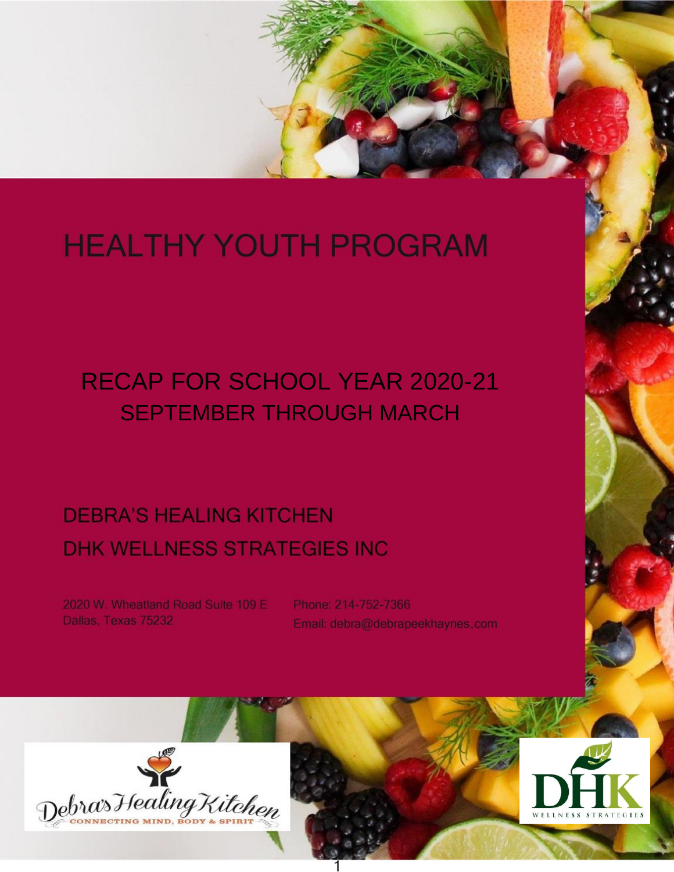# **HEALTHY YOUTH PROGRAM**

# **RECAP FOR SCHOOL YEAR 2020-21 SEPTEMBER THROUGH MARCH**

## **DEBRA'S HEALING KITCHEN DHK WELLNESS STRATEGIES INC**

2020 W. Wheatland Road Suite 109 E Dallas, Texas 75232

Phone: 214-752-7366 Email: debra@debrapeekhaynes.com



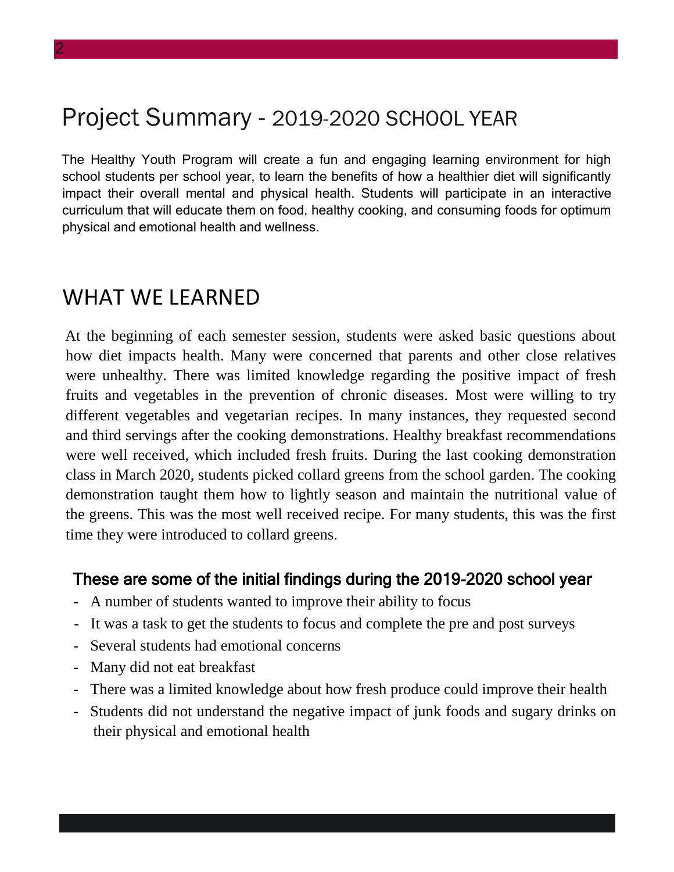### Project Summary - 2019-2020 SCHOOL YEAR

The Healthy Youth Program will create a fun and engaging learning environment for high school students per school year, to learn the benefits of how a healthier diet will significantly impact their overall mental and physical health. Students will participate in an interactive curriculum that will educate them on food, healthy cooking, and consuming foods for optimum physical and emotional health and wellness.

#### WHAT WE LEARNED

At the beginning of each semester session, students were asked basic questions about how diet impacts health. Many were concerned that parents and other close relatives were unhealthy. There was limited knowledge regarding the positive impact of fresh fruits and vegetables in the prevention of chronic diseases. Most were willing to try different vegetables and vegetarian recipes. In many instances, they requested second and third servings after the cooking demonstrations. Healthy breakfast recommendations were well received, which included fresh fruits. During the last cooking demonstration class in March 2020, students picked collard greens from the school garden. The cooking demonstration taught them how to lightly season and maintain the nutritional value of the greens. This was the most well received recipe. For many students, this was the first time they were introduced to collard greens.

#### These are some of the initial findings during the 2019-2020 school year

- A number of students wanted to improve their ability to focus
- It was a task to get the students to focus and complete the pre and post surveys
- Several students had emotional concerns
- Many did not eat breakfast
- There was a limited knowledge about how fresh produce could improve their health
- Students did not understand the negative impact of junk foods and sugary drinks on their physical and emotional health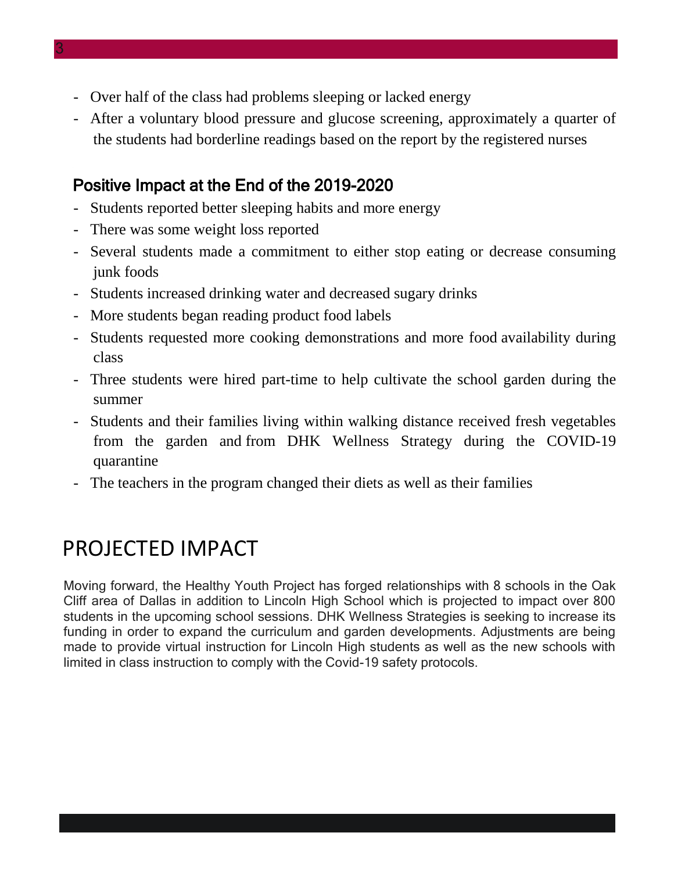- Over half of the class had problems sleeping or lacked energy
- After a voluntary blood pressure and glucose screening, approximately a quarter of the students had borderline readings based on the report by the registered nurses

#### Positive Impact at the End of the 2019-2020

- Students reported better sleeping habits and more energy
- There was some weight loss reported
- Several students made a commitment to either stop eating or decrease consuming junk foods
- Students increased drinking water and decreased sugary drinks
- More students began reading product food labels
- Students requested more cooking demonstrations and more food availability during class
- Three students were hired part-time to help cultivate the school garden during the summer
- Students and their families living within walking distance received fresh vegetables from the garden and from DHK Wellness Strategy during the COVID-19 quarantine
- The teachers in the program changed their diets as well as their families

### PROJECTED IMPACT

Moving forward, the Healthy Youth Project has forged relationships with 8 schools in the Oak Cliff area of Dallas in addition to Lincoln High School which is projected to impact over 800 students in the upcoming school sessions. DHK Wellness Strategies is seeking to increase its funding in order to expand the curriculum and garden developments. Adjustments are being made to provide virtual instruction for Lincoln High students as well as the new schools with limited in class instruction to comply with the Covid-19 safety protocols.